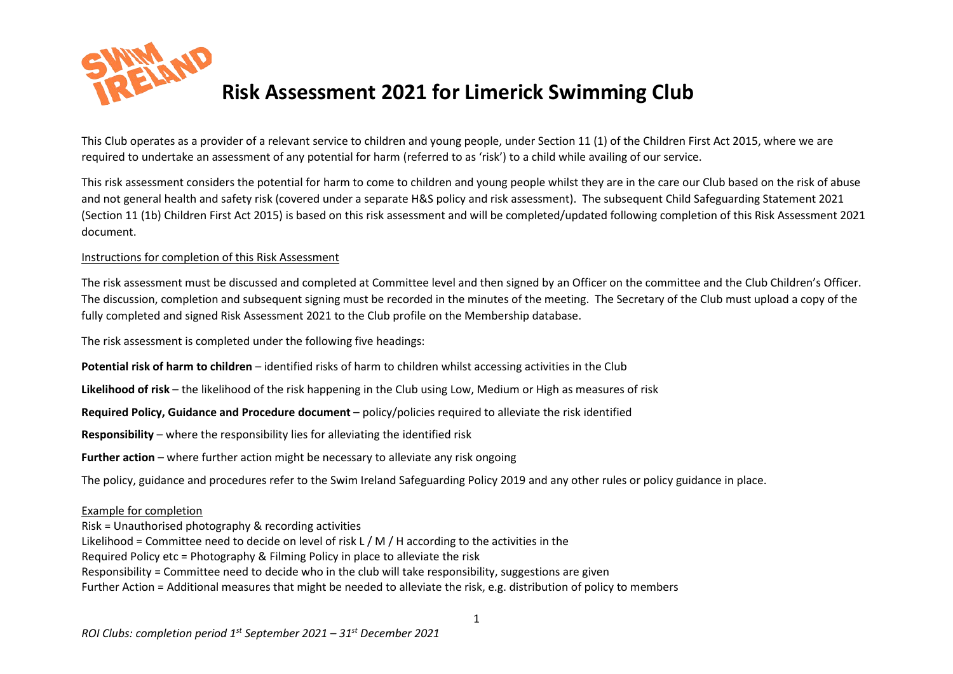

## **Risk Assessment 2021 for Limerick Swimming Club**

This Club operates as a provider of a relevant service to children and young people, under Section 11 (1) of the Children First Act 2015, where we are required to undertake an assessment of any potential for harm (referred to as 'risk') to a child while availing of our service.

This risk assessment considers the potential for harm to come to children and young people whilst they are in the care our Club based on the risk of abuse and not general health and safety risk (covered under a separate H&S policy and risk assessment). The subsequent Child Safeguarding Statement 2021 (Section 11 (1b) Children First Act 2015) is based on this risk assessment and will be completed/updated following completion of this Risk Assessment 2021 document.

## Instructions for completion of this Risk Assessment

The risk assessment must be discussed and completed at Committee level and then signed by an Officer on the committee and the Club Children's Officer. The discussion, completion and subsequent signing must be recorded in the minutes of the meeting. The Secretary of the Club must upload a copy of the fully completed and signed Risk Assessment 2021 to the Club profile on the Membership database.

The risk assessment is completed under the following five headings:

**Potential risk of harm to children** – identified risks of harm to children whilst accessing activities in the Club

**Likelihood of risk** – the likelihood of the risk happening in the Club using Low, Medium or High as measures of risk

**Required Policy, Guidance and Procedure document** – policy/policies required to alleviate the risk identified

**Responsibility** – where the responsibility lies for alleviating the identified risk

**Further action** – where further action might be necessary to alleviate any risk ongoing

The policy, guidance and procedures refer to the Swim Ireland Safeguarding Policy 2019 and any other rules or policy guidance in place.

## Example for completion

Risk = Unauthorised photography & recording activities Likelihood = Committee need to decide on level of risk L  $/$  M $/$  H according to the activities in the Required Policy etc = Photography & Filming Policy in place to alleviate the risk Responsibility = Committee need to decide who in the club will take responsibility, suggestions are given Further Action = Additional measures that might be needed to alleviate the risk, e.g. distribution of policy to members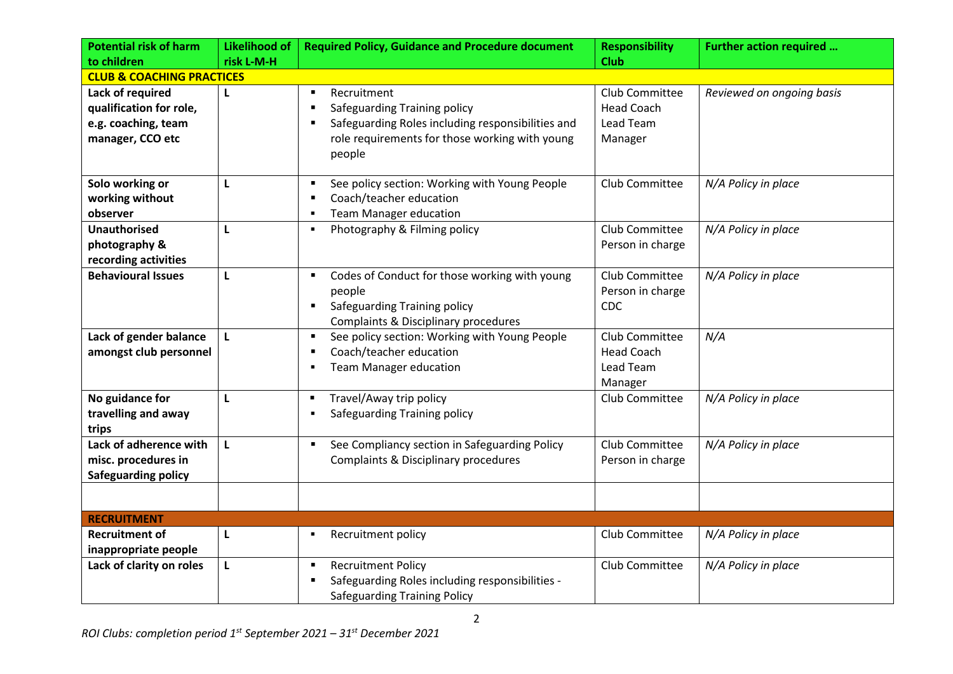| <b>Potential risk of harm</b>                                                          | <b>Likelihood of</b> | <b>Required Policy, Guidance and Procedure document</b>                                                                                                                                                            | <b>Responsibility</b>                                       | Further action required   |
|----------------------------------------------------------------------------------------|----------------------|--------------------------------------------------------------------------------------------------------------------------------------------------------------------------------------------------------------------|-------------------------------------------------------------|---------------------------|
| to children                                                                            | risk L-M-H           |                                                                                                                                                                                                                    | <b>Club</b>                                                 |                           |
| <b>CLUB &amp; COACHING PRACTICES</b>                                                   |                      |                                                                                                                                                                                                                    |                                                             |                           |
| Lack of required<br>qualification for role,<br>e.g. coaching, team<br>manager, CCO etc | L                    | Recruitment<br>$\blacksquare$<br>Safeguarding Training policy<br>$\blacksquare$<br>Safeguarding Roles including responsibilities and<br>$\blacksquare$<br>role requirements for those working with young<br>people | Club Committee<br><b>Head Coach</b><br>Lead Team<br>Manager | Reviewed on ongoing basis |
| Solo working or<br>working without<br>observer                                         | L                    | See policy section: Working with Young People<br>$\blacksquare$<br>Coach/teacher education<br>п<br><b>Team Manager education</b><br>$\blacksquare$                                                                 | Club Committee                                              | N/A Policy in place       |
| <b>Unauthorised</b><br>photography &<br>recording activities                           | $\mathbf{L}$         | Photography & Filming policy<br>٠                                                                                                                                                                                  | Club Committee<br>Person in charge                          | N/A Policy in place       |
| <b>Behavioural Issues</b>                                                              | L                    | Codes of Conduct for those working with young<br>$\blacksquare$<br>people<br>Safeguarding Training policy<br>$\blacksquare$<br>Complaints & Disciplinary procedures                                                | Club Committee<br>Person in charge<br>CDC                   | N/A Policy in place       |
| Lack of gender balance<br>amongst club personnel                                       | L                    | See policy section: Working with Young People<br>$\blacksquare$<br>Coach/teacher education<br>$\blacksquare$<br><b>Team Manager education</b><br>٠                                                                 | Club Committee<br><b>Head Coach</b><br>Lead Team<br>Manager | N/A                       |
| No guidance for<br>travelling and away<br>trips                                        | L                    | Travel/Away trip policy<br>٠<br>Safeguarding Training policy<br>$\blacksquare$                                                                                                                                     | Club Committee                                              | N/A Policy in place       |
| Lack of adherence with<br>misc. procedures in<br><b>Safeguarding policy</b>            | $\mathbf{L}$         | See Compliancy section in Safeguarding Policy<br>$\blacksquare$<br><b>Complaints &amp; Disciplinary procedures</b>                                                                                                 | Club Committee<br>Person in charge                          | N/A Policy in place       |
|                                                                                        |                      |                                                                                                                                                                                                                    |                                                             |                           |
| <b>RECRUITMENT</b>                                                                     |                      |                                                                                                                                                                                                                    |                                                             |                           |
| <b>Recruitment of</b><br>inappropriate people                                          | L                    | Recruitment policy<br>٠                                                                                                                                                                                            | Club Committee                                              | N/A Policy in place       |
| Lack of clarity on roles                                                               | L                    | <b>Recruitment Policy</b><br>٠<br>Safeguarding Roles including responsibilities -<br>п<br><b>Safeguarding Training Policy</b>                                                                                      | Club Committee                                              | N/A Policy in place       |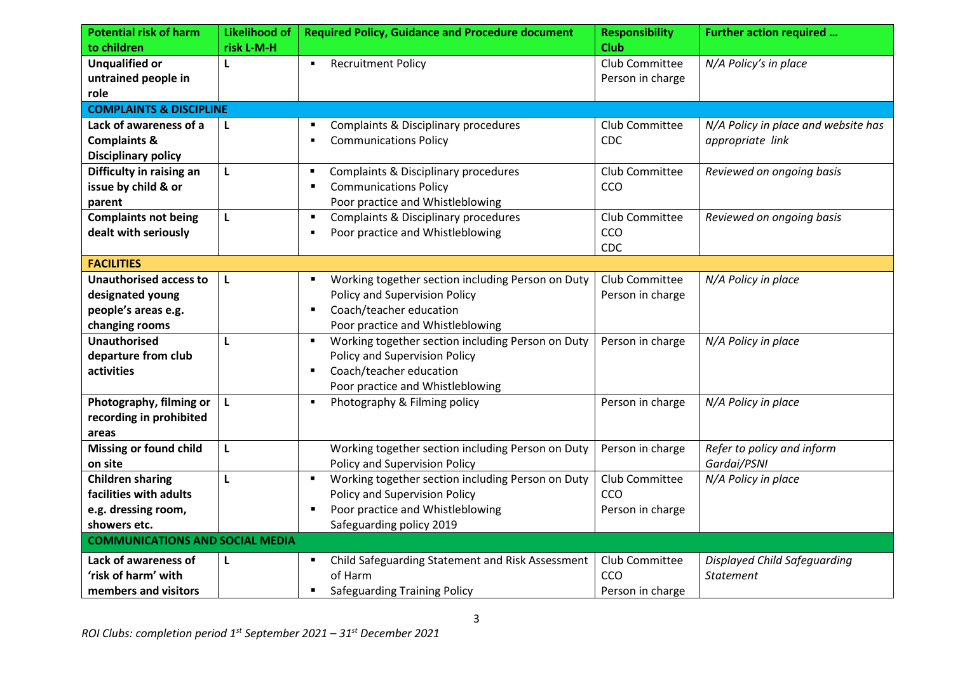| <b>Potential risk of harm</b>          | <b>Likelihood of</b> | <b>Required Policy, Guidance and Procedure document</b>             | <b>Responsibility</b>         | <b>Further action required </b>     |
|----------------------------------------|----------------------|---------------------------------------------------------------------|-------------------------------|-------------------------------------|
| to children<br><b>Unqualified or</b>   | risk L-M-H<br>L      | <b>Recruitment Policy</b><br>٠                                      | <b>Club</b><br>Club Committee | N/A Policy's in place               |
| untrained people in                    |                      |                                                                     | Person in charge              |                                     |
| role                                   |                      |                                                                     |                               |                                     |
| <b>COMPLAINTS &amp; DISCIPLINE</b>     |                      |                                                                     |                               |                                     |
| Lack of awareness of a                 | L                    | Complaints & Disciplinary procedures<br>п                           | Club Committee                | N/A Policy in place and website has |
| <b>Complaints &amp;</b>                |                      | <b>Communications Policy</b>                                        | CDC                           | appropriate link                    |
| <b>Disciplinary policy</b>             |                      |                                                                     |                               |                                     |
| Difficulty in raising an               | L                    | Complaints & Disciplinary procedures<br>٠                           | Club Committee                | Reviewed on ongoing basis           |
| issue by child & or                    |                      | <b>Communications Policy</b><br>п                                   | CCO                           |                                     |
| parent                                 |                      | Poor practice and Whistleblowing                                    |                               |                                     |
| <b>Complaints not being</b>            | Г                    | Complaints & Disciplinary procedures<br>п                           | Club Committee                | Reviewed on ongoing basis           |
| dealt with seriously                   |                      | Poor practice and Whistleblowing<br>п                               | CCO                           |                                     |
|                                        |                      |                                                                     | <b>CDC</b>                    |                                     |
| <b>FACILITIES</b>                      |                      |                                                                     |                               |                                     |
| <b>Unauthorised access to</b>          | L                    | Working together section including Person on Duty<br>٠              | Club Committee                | N/A Policy in place                 |
| designated young                       |                      | Policy and Supervision Policy                                       | Person in charge              |                                     |
| people's areas e.g.                    |                      | Coach/teacher education<br>$\blacksquare$                           |                               |                                     |
| changing rooms                         |                      | Poor practice and Whistleblowing                                    |                               |                                     |
| <b>Unauthorised</b>                    | L                    | Working together section including Person on Duty<br>$\blacksquare$ | Person in charge              | N/A Policy in place                 |
| departure from club                    |                      | Policy and Supervision Policy                                       |                               |                                     |
| activities                             |                      | Coach/teacher education<br>$\blacksquare$                           |                               |                                     |
|                                        |                      | Poor practice and Whistleblowing                                    |                               |                                     |
| Photography, filming or                | L                    | Photography & Filming policy<br>٠                                   | Person in charge              | N/A Policy in place                 |
| recording in prohibited                |                      |                                                                     |                               |                                     |
| areas                                  |                      |                                                                     |                               |                                     |
| <b>Missing or found child</b>          | L                    | Working together section including Person on Duty                   | Person in charge              | Refer to policy and inform          |
| on site                                |                      | Policy and Supervision Policy                                       |                               | Gardai/PSNI                         |
| <b>Children sharing</b>                | L                    | Working together section including Person on Duty<br>$\blacksquare$ | Club Committee                | N/A Policy in place                 |
| facilities with adults                 |                      | Policy and Supervision Policy                                       | CCO                           |                                     |
| e.g. dressing room,                    |                      | Poor practice and Whistleblowing                                    | Person in charge              |                                     |
| showers etc.                           |                      | Safeguarding policy 2019                                            |                               |                                     |
| <b>COMMUNICATIONS AND SOCIAL MEDIA</b> |                      |                                                                     |                               |                                     |
| Lack of awareness of                   | L                    | Child Safeguarding Statement and Risk Assessment<br>٠               | Club Committee                | Displayed Child Safeguarding        |
| 'risk of harm' with                    |                      | of Harm                                                             | CCO                           | <b>Statement</b>                    |
| members and visitors                   |                      | <b>Safeguarding Training Policy</b><br>$\blacksquare$               | Person in charge              |                                     |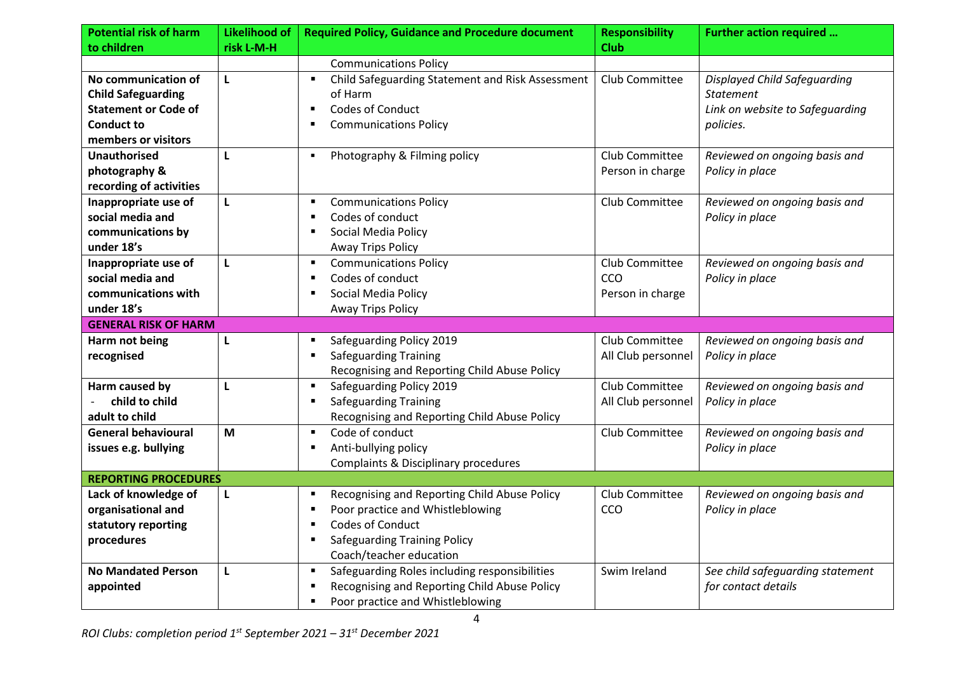| <b>Potential risk of harm</b> | <b>Likelihood of</b> | <b>Required Policy, Guidance and Procedure document</b>        | <b>Responsibility</b> | <b>Further action required </b>     |
|-------------------------------|----------------------|----------------------------------------------------------------|-----------------------|-------------------------------------|
| to children                   | risk L-M-H           |                                                                | <b>Club</b>           |                                     |
|                               |                      | <b>Communications Policy</b>                                   |                       |                                     |
| No communication of           | L                    | Child Safeguarding Statement and Risk Assessment<br>٠          | Club Committee        | <b>Displayed Child Safeguarding</b> |
| <b>Child Safeguarding</b>     |                      | of Harm                                                        |                       | <b>Statement</b>                    |
| <b>Statement or Code of</b>   |                      | <b>Codes of Conduct</b><br>$\blacksquare$                      |                       | Link on website to Safeguarding     |
| <b>Conduct to</b>             |                      | <b>Communications Policy</b>                                   |                       | policies.                           |
| members or visitors           |                      |                                                                |                       |                                     |
| <b>Unauthorised</b>           | L                    | Photography & Filming policy<br>٠                              | Club Committee        | Reviewed on ongoing basis and       |
| photography &                 |                      |                                                                | Person in charge      | Policy in place                     |
| recording of activities       |                      |                                                                |                       |                                     |
| Inappropriate use of          | L                    | <b>Communications Policy</b><br>٠                              | Club Committee        | Reviewed on ongoing basis and       |
| social media and              |                      | Codes of conduct<br>$\blacksquare$                             |                       | Policy in place                     |
| communications by             |                      | Social Media Policy<br>$\blacksquare$                          |                       |                                     |
| under 18's                    |                      | <b>Away Trips Policy</b>                                       |                       |                                     |
| Inappropriate use of          | L                    | <b>Communications Policy</b><br>$\blacksquare$                 | Club Committee        | Reviewed on ongoing basis and       |
| social media and              |                      | Codes of conduct<br>$\blacksquare$                             | CCO                   | Policy in place                     |
| communications with           |                      | Social Media Policy<br>$\blacksquare$                          | Person in charge      |                                     |
| under 18's                    |                      | <b>Away Trips Policy</b>                                       |                       |                                     |
| <b>GENERAL RISK OF HARM</b>   |                      |                                                                |                       |                                     |
| Harm not being                | L                    | Safeguarding Policy 2019<br>$\blacksquare$                     | Club Committee        | Reviewed on ongoing basis and       |
| recognised                    |                      | <b>Safeguarding Training</b><br>$\blacksquare$                 | All Club personnel    | Policy in place                     |
|                               |                      | Recognising and Reporting Child Abuse Policy                   |                       |                                     |
| Harm caused by                | L                    | Safeguarding Policy 2019<br>٠                                  | Club Committee        | Reviewed on ongoing basis and       |
| child to child                |                      | Safeguarding Training<br>п                                     | All Club personnel    | Policy in place                     |
| adult to child                |                      | Recognising and Reporting Child Abuse Policy                   |                       |                                     |
| <b>General behavioural</b>    | M                    | Code of conduct<br>$\blacksquare$                              | Club Committee        | Reviewed on ongoing basis and       |
| issues e.g. bullying          |                      | Anti-bullying policy<br>$\blacksquare$                         |                       | Policy in place                     |
|                               |                      | Complaints & Disciplinary procedures                           |                       |                                     |
| <b>REPORTING PROCEDURES</b>   |                      |                                                                |                       |                                     |
| Lack of knowledge of          | L                    | Recognising and Reporting Child Abuse Policy<br>$\blacksquare$ | Club Committee        | Reviewed on ongoing basis and       |
| organisational and            |                      | Poor practice and Whistleblowing<br>$\blacksquare$             | CCO                   | Policy in place                     |
| statutory reporting           |                      | <b>Codes of Conduct</b><br>$\blacksquare$                      |                       |                                     |
| procedures                    |                      | <b>Safeguarding Training Policy</b><br>$\blacksquare$          |                       |                                     |
|                               |                      | Coach/teacher education                                        |                       |                                     |
| <b>No Mandated Person</b>     | L                    | Safeguarding Roles including responsibilities<br>٠             | Swim Ireland          | See child safeguarding statement    |
| appointed                     |                      | Recognising and Reporting Child Abuse Policy<br>$\blacksquare$ |                       | for contact details                 |
|                               |                      | Poor practice and Whistleblowing<br>$\blacksquare$             |                       |                                     |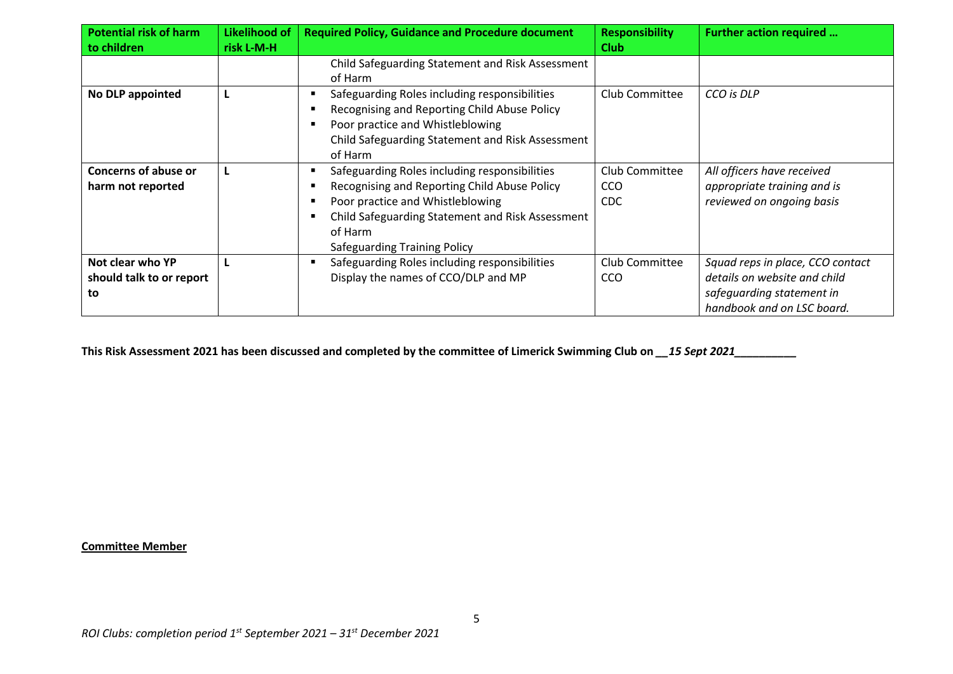| <b>Potential risk of harm</b><br>to children       | Likelihood of<br>risk L-M-H | <b>Required Policy, Guidance and Procedure document</b>                                                                                                                                                                          | <b>Responsibility</b><br><b>Club</b> | Further action required                                                                                                     |
|----------------------------------------------------|-----------------------------|----------------------------------------------------------------------------------------------------------------------------------------------------------------------------------------------------------------------------------|--------------------------------------|-----------------------------------------------------------------------------------------------------------------------------|
|                                                    |                             | Child Safeguarding Statement and Risk Assessment<br>of Harm                                                                                                                                                                      |                                      |                                                                                                                             |
| No DLP appointed                                   |                             | Safeguarding Roles including responsibilities<br>Recognising and Reporting Child Abuse Policy<br>Poor practice and Whistleblowing<br>Child Safeguarding Statement and Risk Assessment<br>of Harm                                 | Club Committee                       | CCO is DLP                                                                                                                  |
| <b>Concerns of abuse or</b><br>harm not reported   |                             | Safeguarding Roles including responsibilities<br>Recognising and Reporting Child Abuse Policy<br>Poor practice and Whistleblowing<br>Child Safeguarding Statement and Risk Assessment<br>of Harm<br>Safeguarding Training Policy | Club Committee<br>CCO<br><b>CDC</b>  | All officers have received<br>appropriate training and is<br>reviewed on ongoing basis                                      |
| Not clear who YP<br>should talk to or report<br>to |                             | Safeguarding Roles including responsibilities<br>Display the names of CCO/DLP and MP                                                                                                                                             | Club Committee<br>CCO                | Squad reps in place, CCO contact<br>details on website and child<br>safeguarding statement in<br>handbook and on LSC board. |

**This Risk Assessment 2021 has been discussed and completed by the committee of Limerick Swimming Club on** *\_\_15 Sept 2021\_\_\_\_\_\_\_\_\_\_*

## **Committee Member**